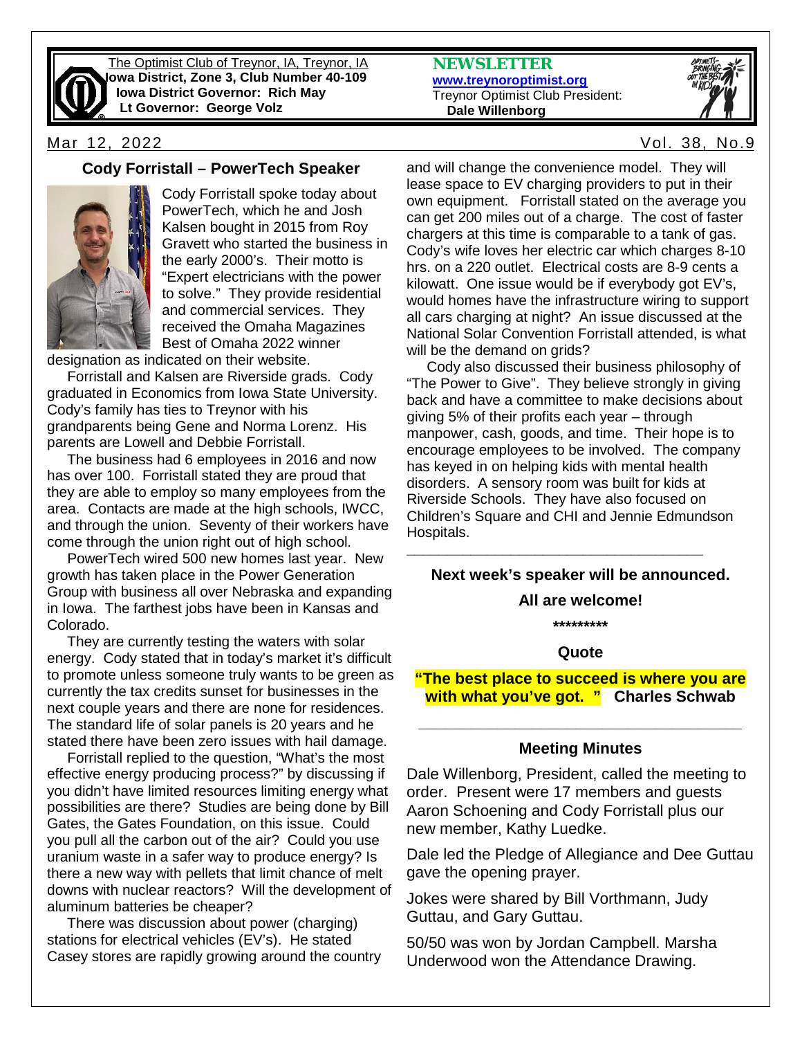

The Optimist Club of Treynor, IA, Treynor, IA **Iowa District, Zone 3, Club Number 40-109 Iowa District Governor: Rich May Lt Governor: George Volz**

Mar 12, 2022 Vol. 38, No.9

### **Cody Forristall – PowerTech Speaker**



Cody Forristall spoke today about PowerTech, which he and Josh Kalsen bought in 2015 from Roy Gravett who started the business in the early 2000's. Their motto is "Expert electricians with the power to solve." They provide residential and commercial services. They received the Omaha Magazines Best of Omaha 2022 winner

designation as indicated on their website.

 Forristall and Kalsen are Riverside grads. Cody graduated in Economics from Iowa State University. Cody's family has ties to Treynor with his grandparents being Gene and Norma Lorenz. His parents are Lowell and Debbie Forristall.

 The business had 6 employees in 2016 and now has over 100. Forristall stated they are proud that they are able to employ so many employees from the area. Contacts are made at the high schools, IWCC, and through the union. Seventy of their workers have come through the union right out of high school.

 PowerTech wired 500 new homes last year. New growth has taken place in the Power Generation Group with business all over Nebraska and expanding in Iowa. The farthest jobs have been in Kansas and Colorado.

 They are currently testing the waters with solar energy. Cody stated that in today's market it's difficult to promote unless someone truly wants to be green as currently the tax credits sunset for businesses in the next couple years and there are none for residences. The standard life of solar panels is 20 years and he stated there have been zero issues with hail damage.

 Forristall replied to the question, "What's the most effective energy producing process?" by discussing if you didn't have limited resources limiting energy what possibilities are there? Studies are being done by Bill Gates, the Gates Foundation, on this issue. Could you pull all the carbon out of the air? Could you use uranium waste in a safer way to produce energy? Is there a new way with pellets that limit chance of melt downs with nuclear reactors? Will the development of aluminum batteries be cheaper?

 There was discussion about power (charging) stations for electrical vehicles (EV's). He stated Casey stores are rapidly growing around the country **NEWSLETTER [www.treynoroptimist.org](http://www.treynoroptimist.org/)** Treynor Optimist Club President:  **Dale Willenborg**



and will change the convenience model. They will lease space to EV charging providers to put in their own equipment. Forristall stated on the average you can get 200 miles out of a charge. The cost of faster chargers at this time is comparable to a tank of gas. Cody's wife loves her electric car which charges 8-10 hrs. on a 220 outlet. Electrical costs are 8-9 cents a kilowatt. One issue would be if everybody got EV's, would homes have the infrastructure wiring to support all cars charging at night? An issue discussed at the National Solar Convention Forristall attended, is what will be the demand on grids?

 Cody also discussed their business philosophy of "The Power to Give". They believe strongly in giving back and have a committee to make decisions about giving 5% of their profits each year – through manpower, cash, goods, and time. Their hope is to encourage employees to be involved. The company has keyed in on helping kids with mental health disorders. A sensory room was built for kids at Riverside Schools. They have also focused on Children's Square and CHI and Jennie Edmundson Hospitals.

### **Next week's speaker will be announced.**

**\_\_\_\_\_\_\_\_\_\_\_\_\_\_\_\_\_\_\_\_\_\_\_\_\_\_\_\_\_\_\_\_\_\_\_\_\_**

#### **All are welcome!**

**\*\*\*\*\*\*\*\*\***

#### **Quote**

**"The best place to succeed is where you are with what you've got. " Charles Schwab**

# **\_\_\_\_\_\_\_\_\_\_\_\_\_\_\_\_\_\_\_\_\_\_\_\_\_\_\_\_\_\_\_\_\_\_\_\_\_ Meeting Minutes**

Dale Willenborg, President, called the meeting to order. Present were 17 members and guests Aaron Schoening and Cody Forristall plus our new member, Kathy Luedke.

Dale led the Pledge of Allegiance and Dee Guttau gave the opening prayer.

Jokes were shared by Bill Vorthmann, Judy Guttau, and Gary Guttau.

50/50 was won by Jordan Campbell. Marsha Underwood won the Attendance Drawing.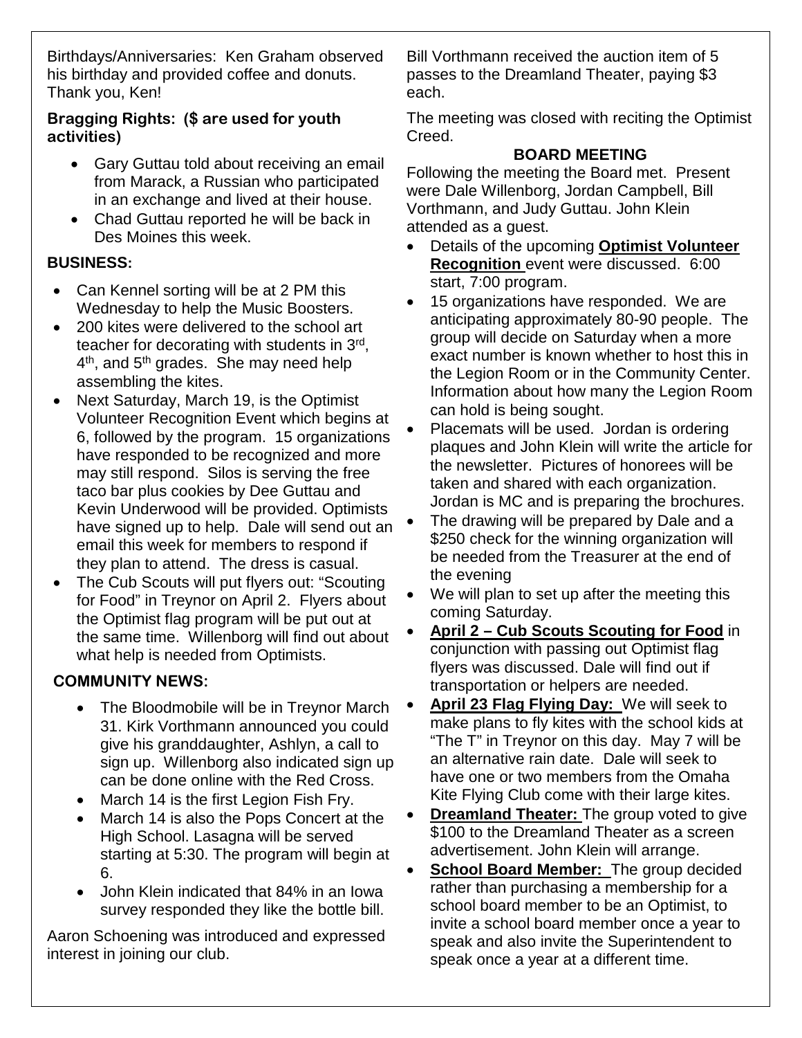Birthdays/Anniversaries: Ken Graham observed his birthday and provided coffee and donuts. Thank you, Ken!

### **Bragging Rights: (\$ are used for youth activities)**

- Gary Guttau told about receiving an email from Marack, a Russian who participated in an exchange and lived at their house.
- Chad Guttau reported he will be back in Des Moines this week.

# **BUSINESS:**

- Can Kennel sorting will be at 2 PM this Wednesday to help the Music Boosters.
- 200 kites were delivered to the school art teacher for decorating with students in 3rd, 4<sup>th</sup>, and 5<sup>th</sup> grades. She may need help assembling the kites.
- Next Saturday, March 19, is the Optimist Volunteer Recognition Event which begins at 6, followed by the program. 15 organizations have responded to be recognized and more may still respond. Silos is serving the free taco bar plus cookies by Dee Guttau and Kevin Underwood will be provided. Optimists have signed up to help. Dale will send out an email this week for members to respond if they plan to attend. The dress is casual.
- The Cub Scouts will put flyers out: "Scouting for Food" in Treynor on April 2. Flyers about the Optimist flag program will be put out at the same time. Willenborg will find out about what help is needed from Optimists.

# **COMMUNITY NEWS:**

- The Bloodmobile will be in Treynor March 31. Kirk Vorthmann announced you could give his granddaughter, Ashlyn, a call to sign up. Willenborg also indicated sign up can be done online with the Red Cross.
- March 14 is the first Legion Fish Fry.
- March 14 is also the Pops Concert at the High School. Lasagna will be served starting at 5:30. The program will begin at 6.
- John Klein indicated that 84% in an Iowa survey responded they like the bottle bill.

Aaron Schoening was introduced and expressed interest in joining our club.

Bill Vorthmann received the auction item of 5 passes to the Dreamland Theater, paying \$3 each.

The meeting was closed with reciting the Optimist Creed.

### **BOARD MEETING**

Following the meeting the Board met. Present were Dale Willenborg, Jordan Campbell, Bill Vorthmann, and Judy Guttau. John Klein attended as a guest.

- Details of the upcoming **Optimist Volunteer Recognition** event were discussed. 6:00 start, 7:00 program.
- 15 organizations have responded. We are anticipating approximately 80-90 people. The group will decide on Saturday when a more exact number is known whether to host this in the Legion Room or in the Community Center. Information about how many the Legion Room can hold is being sought.
- Placemats will be used. Jordan is ordering plaques and John Klein will write the article for the newsletter. Pictures of honorees will be taken and shared with each organization. Jordan is MC and is preparing the brochures.
- The drawing will be prepared by Dale and a \$250 check for the winning organization will be needed from the Treasurer at the end of the evening
- We will plan to set up after the meeting this coming Saturday.
- **April 2 – Cub Scouts Scouting for Food** in conjunction with passing out Optimist flag flyers was discussed. Dale will find out if transportation or helpers are needed.
- **April 23 Flag Flying Day:** We will seek to make plans to fly kites with the school kids at "The T" in Treynor on this day. May 7 will be an alternative rain date. Dale will seek to have one or two members from the Omaha Kite Flying Club come with their large kites.
- **Dreamland Theater:** The group voted to give \$100 to the Dreamland Theater as a screen advertisement. John Klein will arrange.
- **School Board Member:** The group decided rather than purchasing a membership for a school board member to be an Optimist, to invite a school board member once a year to speak and also invite the Superintendent to speak once a year at a different time.